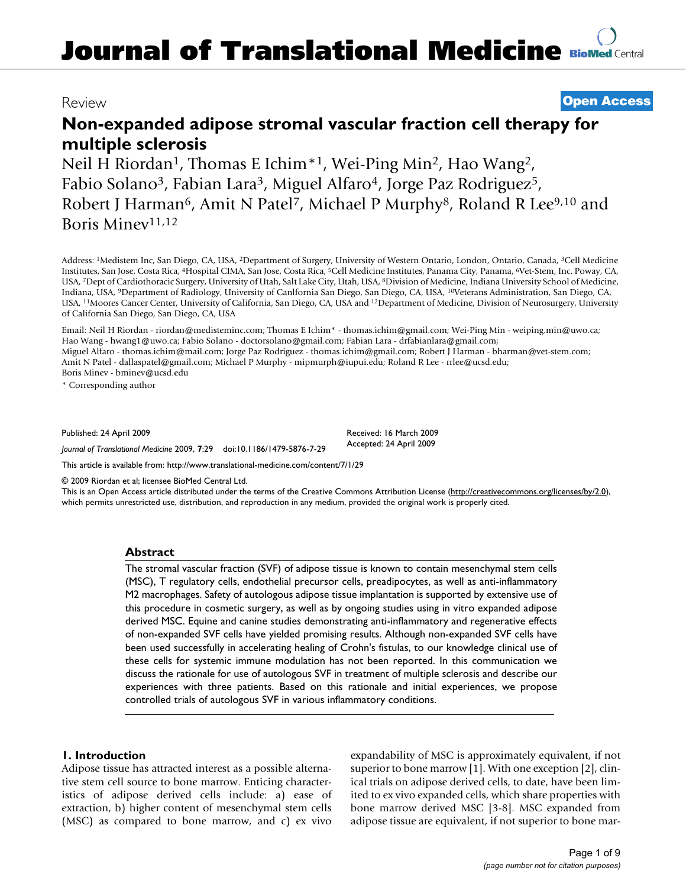# **Journal of Translational Medicine [BioMed](http://www.biomedcentral.com/) Central**

## Review **[Open Access](http://www.biomedcentral.com/info/about/charter/)**

# **Non-expanded adipose stromal vascular fraction cell therapy for multiple sclerosis**

Neil H Riordan<sup>1</sup>, Thomas E Ichim<sup>\*1</sup>, Wei-Ping Min<sup>2</sup>, Hao Wang<sup>2</sup>, Fabio Solano<sup>3</sup>, Fabian Lara<sup>3</sup>, Miguel Alfaro<sup>4</sup>, Jorge Paz Rodriguez<sup>5</sup>, Robert J Harman<sup>6</sup>, Amit N Patel<sup>7</sup>, Michael P Murphy<sup>8</sup>, Roland R Lee<sup>9,10</sup> and Boris Minev<sup>11,12</sup>

Address: 1Medistem Inc, San Diego, CA, USA, 2Department of Surgery, University of Western Ontario, London, Ontario, Canada, 3Cell Medicine Institutes, San Jose, Costa Rica, 4Hospital CIMA, San Jose, Costa Rica, 5Cell Medicine Institutes, Panama City, Panama, 6Vet-Stem, Inc. Poway, CA, USA, 7Dept of Cardiothoracic Surgery, University of Utah, Salt Lake City, Utah, USA, 8Division of Medicine, Indiana University School of Medicine, Indiana, USA, 9Department of Radiology, University of Canlfornia San Diego, San Diego, CA, USA, 10Veterans Administration, San Diego, CA, USA, 11Moores Cancer Center, University of California, San Diego, CA, USA and 12Department of Medicine, Division of Neurosurgery, University of California San Diego, San Diego, CA, USA

Email: Neil H Riordan - riordan@medisteminc.com; Thomas E Ichim\* - thomas.ichim@gmail.com; Wei-Ping Min - weiping.min@uwo.ca; Hao Wang - hwang1@uwo.ca; Fabio Solano - doctorsolano@gmail.com; Fabian Lara - drfabianlara@gmail.com; Miguel Alfaro - thomas.ichim@mail.com; Jorge Paz Rodriguez - thomas.ichim@gmail.com; Robert J Harman - bharman@vet-stem.com; Amit N Patel - dallaspatel@gmail.com; Michael P Murphy - mipmurph@iupui.edu; Roland R Lee - rrlee@ucsd.edu; Boris Minev - bminev@ucsd.edu

\* Corresponding author

Published: 24 April 2009

*Journal of Translational Medicine* 2009, **7**:29 doi:10.1186/1479-5876-7-29

Received: 16 March 2009 Accepted: 24 April 2009

[This article is available from: http://www.translational-medicine.com/content/7/1/29](http://www.translational-medicine.com/content/7/1/29)

© 2009 Riordan et al; licensee BioMed Central Ltd.

This is an Open Access article distributed under the terms of the Creative Commons Attribution License [\(http://creativecommons.org/licenses/by/2.0\)](http://creativecommons.org/licenses/by/2.0), which permits unrestricted use, distribution, and reproduction in any medium, provided the original work is properly cited.

#### **Abstract**

The stromal vascular fraction (SVF) of adipose tissue is known to contain mesenchymal stem cells (MSC), T regulatory cells, endothelial precursor cells, preadipocytes, as well as anti-inflammatory M2 macrophages. Safety of autologous adipose tissue implantation is supported by extensive use of this procedure in cosmetic surgery, as well as by ongoing studies using in vitro expanded adipose derived MSC. Equine and canine studies demonstrating anti-inflammatory and regenerative effects of non-expanded SVF cells have yielded promising results. Although non-expanded SVF cells have been used successfully in accelerating healing of Crohn's fistulas, to our knowledge clinical use of these cells for systemic immune modulation has not been reported. In this communication we discuss the rationale for use of autologous SVF in treatment of multiple sclerosis and describe our experiences with three patients. Based on this rationale and initial experiences, we propose controlled trials of autologous SVF in various inflammatory conditions.

#### **1. Introduction**

Adipose tissue has attracted interest as a possible alternative stem cell source to bone marrow. Enticing characteristics of adipose derived cells include: a) ease of extraction, b) higher content of mesenchymal stem cells (MSC) as compared to bone marrow, and c) ex vivo expandability of MSC is approximately equivalent, if not superior to bone marrow [1]. With one exception [2], clinical trials on adipose derived cells, to date, have been limited to ex vivo expanded cells, which share properties with bone marrow derived MSC [3-8]. MSC expanded from adipose tissue are equivalent, if not superior to bone mar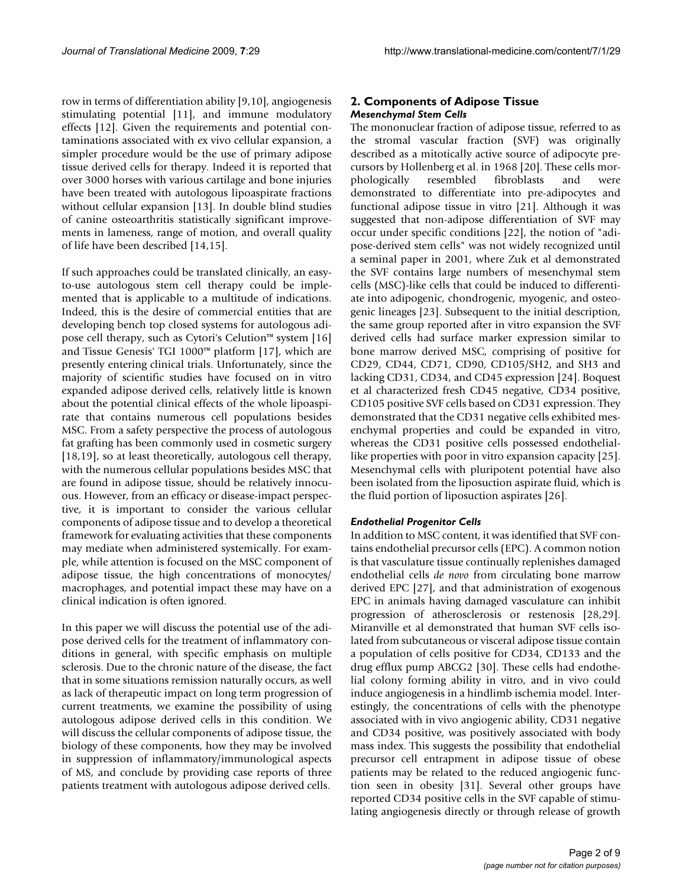row in terms of differentiation ability [9,10], angiogenesis stimulating potential [11], and immune modulatory effects [12]. Given the requirements and potential contaminations associated with ex vivo cellular expansion, a simpler procedure would be the use of primary adipose tissue derived cells for therapy. Indeed it is reported that over 3000 horses with various cartilage and bone injuries have been treated with autologous lipoaspirate fractions without cellular expansion [13]. In double blind studies of canine osteoarthritis statistically significant improvements in lameness, range of motion, and overall quality of life have been described [14,15].

If such approaches could be translated clinically, an easyto-use autologous stem cell therapy could be implemented that is applicable to a multitude of indications. Indeed, this is the desire of commercial entities that are developing bench top closed systems for autologous adipose cell therapy, such as Cytori's Celution™ system [16] and Tissue Genesis' TGI 1000™ platform [17], which are presently entering clinical trials. Unfortunately, since the majority of scientific studies have focused on in vitro expanded adipose derived cells, relatively little is known about the potential clinical effects of the whole lipoaspirate that contains numerous cell populations besides MSC. From a safety perspective the process of autologous fat grafting has been commonly used in cosmetic surgery [18,19], so at least theoretically, autologous cell therapy, with the numerous cellular populations besides MSC that are found in adipose tissue, should be relatively innocuous. However, from an efficacy or disease-impact perspective, it is important to consider the various cellular components of adipose tissue and to develop a theoretical framework for evaluating activities that these components may mediate when administered systemically. For example, while attention is focused on the MSC component of adipose tissue, the high concentrations of monocytes/ macrophages, and potential impact these may have on a clinical indication is often ignored.

In this paper we will discuss the potential use of the adipose derived cells for the treatment of inflammatory conditions in general, with specific emphasis on multiple sclerosis. Due to the chronic nature of the disease, the fact that in some situations remission naturally occurs, as well as lack of therapeutic impact on long term progression of current treatments, we examine the possibility of using autologous adipose derived cells in this condition. We will discuss the cellular components of adipose tissue, the biology of these components, how they may be involved in suppression of inflammatory/immunological aspects of MS, and conclude by providing case reports of three patients treatment with autologous adipose derived cells.

#### **2. Components of Adipose Tissue** *Mesenchymal Stem Cells*

The mononuclear fraction of adipose tissue, referred to as the stromal vascular fraction (SVF) was originally described as a mitotically active source of adipocyte precursors by Hollenberg et al. in 1968 [20]. These cells morphologically resembled fibroblasts and were demonstrated to differentiate into pre-adipocytes and functional adipose tissue in vitro [21]. Although it was suggested that non-adipose differentiation of SVF may occur under specific conditions [22], the notion of "adipose-derived stem cells" was not widely recognized until a seminal paper in 2001, where Zuk et al demonstrated the SVF contains large numbers of mesenchymal stem cells (MSC)-like cells that could be induced to differentiate into adipogenic, chondrogenic, myogenic, and osteogenic lineages [23]. Subsequent to the initial description, the same group reported after in vitro expansion the SVF derived cells had surface marker expression similar to bone marrow derived MSC, comprising of positive for CD29, CD44, CD71, CD90, CD105/SH2, and SH3 and lacking CD31, CD34, and CD45 expression [24]. Boquest et al characterized fresh CD45 negative, CD34 positive, CD105 positive SVF cells based on CD31 expression. They demonstrated that the CD31 negative cells exhibited mesenchymal properties and could be expanded in vitro, whereas the CD31 positive cells possessed endotheliallike properties with poor in vitro expansion capacity [25]. Mesenchymal cells with pluripotent potential have also been isolated from the liposuction aspirate fluid, which is the fluid portion of liposuction aspirates [26].

#### *Endothelial Progenitor Cells*

In addition to MSC content, it was identified that SVF contains endothelial precursor cells (EPC). A common notion is that vasculature tissue continually replenishes damaged endothelial cells *de novo* from circulating bone marrow derived EPC [27], and that administration of exogenous EPC in animals having damaged vasculature can inhibit progression of atherosclerosis or restenosis [28,29]. Miranville et al demonstrated that human SVF cells isolated from subcutaneous or visceral adipose tissue contain a population of cells positive for CD34, CD133 and the drug efflux pump ABCG2 [30]. These cells had endothelial colony forming ability in vitro, and in vivo could induce angiogenesis in a hindlimb ischemia model. Interestingly, the concentrations of cells with the phenotype associated with in vivo angiogenic ability, CD31 negative and CD34 positive, was positively associated with body mass index. This suggests the possibility that endothelial precursor cell entrapment in adipose tissue of obese patients may be related to the reduced angiogenic function seen in obesity [31]. Several other groups have reported CD34 positive cells in the SVF capable of stimulating angiogenesis directly or through release of growth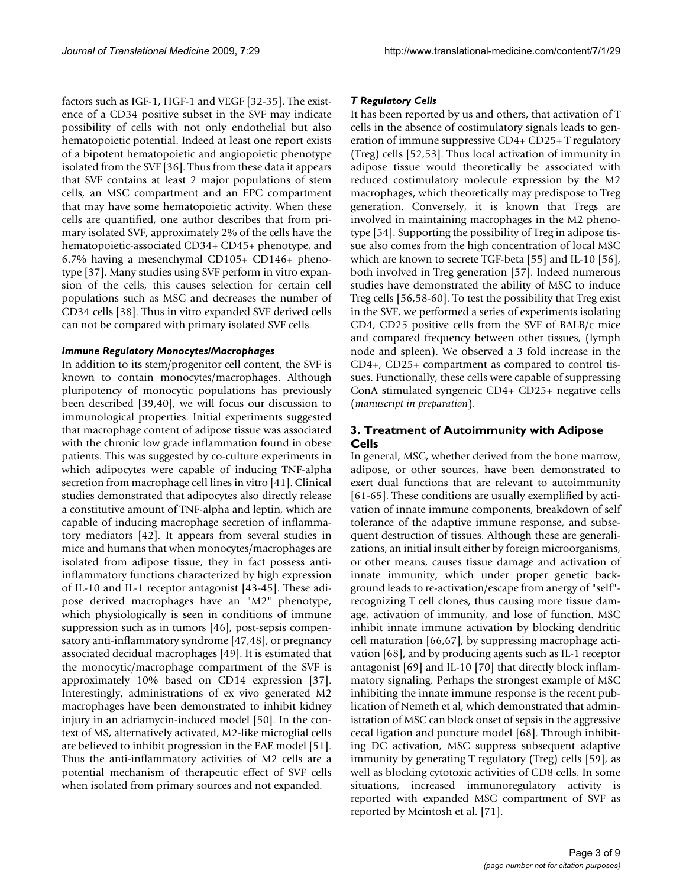factors such as IGF-1, HGF-1 and VEGF [32-35]. The existence of a CD34 positive subset in the SVF may indicate possibility of cells with not only endothelial but also hematopoietic potential. Indeed at least one report exists of a bipotent hematopoietic and angiopoietic phenotype isolated from the SVF [36]. Thus from these data it appears that SVF contains at least 2 major populations of stem cells, an MSC compartment and an EPC compartment that may have some hematopoietic activity. When these cells are quantified, one author describes that from primary isolated SVF, approximately 2% of the cells have the hematopoietic-associated CD34+ CD45+ phenotype, and 6.7% having a mesenchymal CD105+ CD146+ phenotype [37]. Many studies using SVF perform in vitro expansion of the cells, this causes selection for certain cell populations such as MSC and decreases the number of CD34 cells [38]. Thus in vitro expanded SVF derived cells can not be compared with primary isolated SVF cells.

#### *Immune Regulatory Monocytes/Macrophages*

In addition to its stem/progenitor cell content, the SVF is known to contain monocytes/macrophages. Although pluripotency of monocytic populations has previously been described [39,40], we will focus our discussion to immunological properties. Initial experiments suggested that macrophage content of adipose tissue was associated with the chronic low grade inflammation found in obese patients. This was suggested by co-culture experiments in which adipocytes were capable of inducing TNF-alpha secretion from macrophage cell lines in vitro [41]. Clinical studies demonstrated that adipocytes also directly release a constitutive amount of TNF-alpha and leptin, which are capable of inducing macrophage secretion of inflammatory mediators [42]. It appears from several studies in mice and humans that when monocytes/macrophages are isolated from adipose tissue, they in fact possess antiinflammatory functions characterized by high expression of IL-10 and IL-1 receptor antagonist [43-45]. These adipose derived macrophages have an "M2" phenotype, which physiologically is seen in conditions of immune suppression such as in tumors [46], post-sepsis compensatory anti-inflammatory syndrome [47,48], or pregnancy associated decidual macrophages [49]. It is estimated that the monocytic/macrophage compartment of the SVF is approximately 10% based on CD14 expression [37]. Interestingly, administrations of ex vivo generated M2 macrophages have been demonstrated to inhibit kidney injury in an adriamycin-induced model [50]. In the context of MS, alternatively activated, M2-like microglial cells are believed to inhibit progression in the EAE model [51]. Thus the anti-inflammatory activities of M2 cells are a potential mechanism of therapeutic effect of SVF cells when isolated from primary sources and not expanded.

#### *T Regulatory Cells*

It has been reported by us and others, that activation of T cells in the absence of costimulatory signals leads to generation of immune suppressive CD4+ CD25+ T regulatory (Treg) cells [52,53]. Thus local activation of immunity in adipose tissue would theoretically be associated with reduced costimulatory molecule expression by the M2 macrophages, which theoretically may predispose to Treg generation. Conversely, it is known that Tregs are involved in maintaining macrophages in the M2 phenotype [54]. Supporting the possibility of Treg in adipose tissue also comes from the high concentration of local MSC which are known to secrete TGF-beta [55] and IL-10 [56], both involved in Treg generation [57]. Indeed numerous studies have demonstrated the ability of MSC to induce Treg cells [56,58-60]. To test the possibility that Treg exist in the SVF, we performed a series of experiments isolating CD4, CD25 positive cells from the SVF of BALB/c mice and compared frequency between other tissues, (lymph node and spleen). We observed a 3 fold increase in the CD4+, CD25+ compartment as compared to control tissues. Functionally, these cells were capable of suppressing ConA stimulated syngeneic CD4+ CD25+ negative cells (*manuscript in preparation*).

### **3. Treatment of Autoimmunity with Adipose Cells**

In general, MSC, whether derived from the bone marrow, adipose, or other sources, have been demonstrated to exert dual functions that are relevant to autoimmunity [61-65]. These conditions are usually exemplified by activation of innate immune components, breakdown of self tolerance of the adaptive immune response, and subsequent destruction of tissues. Although these are generalizations, an initial insult either by foreign microorganisms, or other means, causes tissue damage and activation of innate immunity, which under proper genetic background leads to re-activation/escape from anergy of "self" recognizing T cell clones, thus causing more tissue damage, activation of immunity, and lose of function. MSC inhibit innate immune activation by blocking dendritic cell maturation [66,67], by suppressing macrophage activation [68], and by producing agents such as IL-1 receptor antagonist [69] and IL-10 [70] that directly block inflammatory signaling. Perhaps the strongest example of MSC inhibiting the innate immune response is the recent publication of Nemeth et al, which demonstrated that administration of MSC can block onset of sepsis in the aggressive cecal ligation and puncture model [68]. Through inhibiting DC activation, MSC suppress subsequent adaptive immunity by generating T regulatory (Treg) cells [59], as well as blocking cytotoxic activities of CD8 cells. In some situations, increased immunoregulatory activity is reported with expanded MSC compartment of SVF as reported by Mcintosh et al. [71].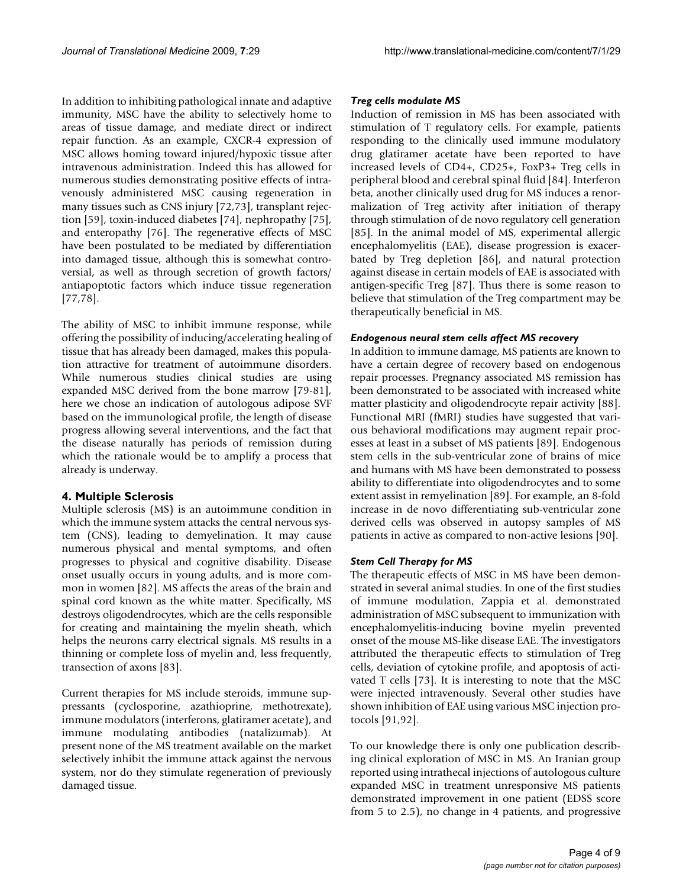In addition to inhibiting pathological innate and adaptive immunity, MSC have the ability to selectively home to areas of tissue damage, and mediate direct or indirect repair function. As an example, CXCR-4 expression of MSC allows homing toward injured/hypoxic tissue after intravenous administration. Indeed this has allowed for numerous studies demonstrating positive effects of intravenously administered MSC causing regeneration in many tissues such as CNS injury [72,73], transplant rejection [59], toxin-induced diabetes [74], nephropathy [75], and enteropathy [76]. The regenerative effects of MSC have been postulated to be mediated by differentiation into damaged tissue, although this is somewhat controversial, as well as through secretion of growth factors/ antiapoptotic factors which induce tissue regeneration [77,78].

The ability of MSC to inhibit immune response, while offering the possibility of inducing/accelerating healing of tissue that has already been damaged, makes this population attractive for treatment of autoimmune disorders. While numerous studies clinical studies are using expanded MSC derived from the bone marrow [79-81], here we chose an indication of autologous adipose SVF based on the immunological profile, the length of disease progress allowing several interventions, and the fact that the disease naturally has periods of remission during which the rationale would be to amplify a process that already is underway.

#### **4. Multiple Sclerosis**

Multiple sclerosis (MS) is an autoimmune condition in which the immune system attacks the central nervous system (CNS), leading to demyelination. It may cause numerous physical and mental symptoms, and often progresses to physical and cognitive disability. Disease onset usually occurs in young adults, and is more common in women [82]. MS affects the areas of the brain and spinal cord known as the white matter. Specifically, MS destroys oligodendrocytes, which are the cells responsible for creating and maintaining the myelin sheath, which helps the neurons carry electrical signals. MS results in a thinning or complete loss of myelin and, less frequently, transection of axons [83].

Current therapies for MS include steroids, immune suppressants (cyclosporine, azathioprine, methotrexate), immune modulators (interferons, glatiramer acetate), and immune modulating antibodies (natalizumab). At present none of the MS treatment available on the market selectively inhibit the immune attack against the nervous system, nor do they stimulate regeneration of previously damaged tissue.

#### *Treg cells modulate MS*

Induction of remission in MS has been associated with stimulation of T regulatory cells. For example, patients responding to the clinically used immune modulatory drug glatiramer acetate have been reported to have increased levels of CD4+, CD25+, FoxP3+ Treg cells in peripheral blood and cerebral spinal fluid [84]. Interferon beta, another clinically used drug for MS induces a renormalization of Treg activity after initiation of therapy through stimulation of de novo regulatory cell generation [85]. In the animal model of MS, experimental allergic encephalomyelitis (EAE), disease progression is exacerbated by Treg depletion [86], and natural protection against disease in certain models of EAE is associated with antigen-specific Treg [87]. Thus there is some reason to believe that stimulation of the Treg compartment may be therapeutically beneficial in MS.

#### *Endogenous neural stem cells affect MS recovery*

In addition to immune damage, MS patients are known to have a certain degree of recovery based on endogenous repair processes. Pregnancy associated MS remission has been demonstrated to be associated with increased white matter plasticity and oligodendrocyte repair activity [88]. Functional MRI (fMRI) studies have suggested that various behavioral modifications may augment repair processes at least in a subset of MS patients [89]. Endogenous stem cells in the sub-ventricular zone of brains of mice and humans with MS have been demonstrated to possess ability to differentiate into oligodendrocytes and to some extent assist in remyelination [89]. For example, an 8-fold increase in de novo differentiating sub-ventricular zone derived cells was observed in autopsy samples of MS patients in active as compared to non-active lesions [90].

### *Stem Cell Therapy for MS*

The therapeutic effects of MSC in MS have been demonstrated in several animal studies. In one of the first studies of immune modulation, Zappia et al. demonstrated administration of MSC subsequent to immunization with encephalomyelitis-inducing bovine myelin prevented onset of the mouse MS-like disease EAE. The investigators attributed the therapeutic effects to stimulation of Treg cells, deviation of cytokine profile, and apoptosis of activated T cells [73]. It is interesting to note that the MSC were injected intravenously. Several other studies have shown inhibition of EAE using various MSC injection protocols [91,92].

To our knowledge there is only one publication describing clinical exploration of MSC in MS. An Iranian group reported using intrathecal injections of autologous culture expanded MSC in treatment unresponsive MS patients demonstrated improvement in one patient (EDSS score from 5 to 2.5), no change in 4 patients, and progressive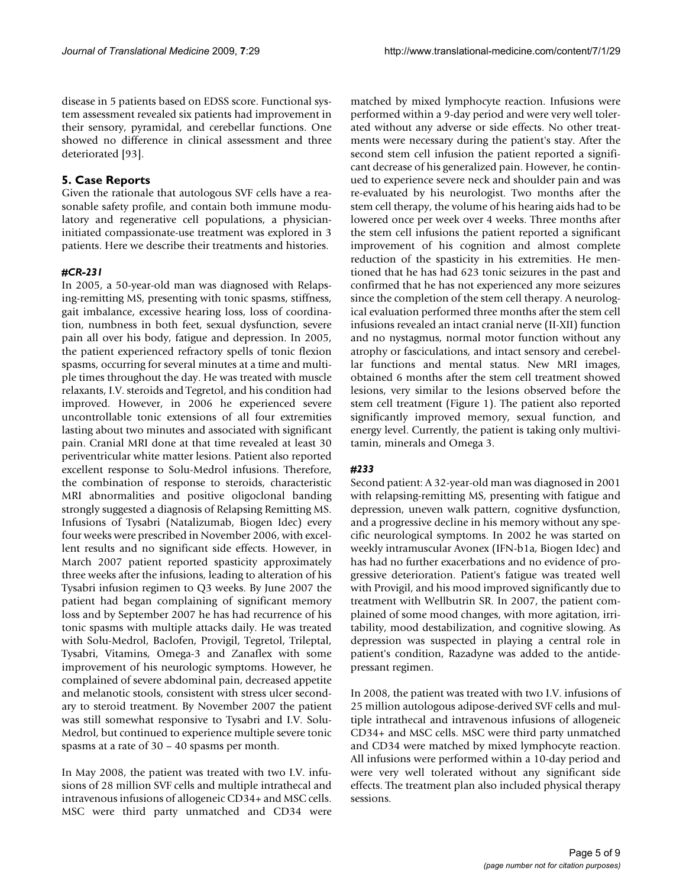disease in 5 patients based on EDSS score. Functional system assessment revealed six patients had improvement in their sensory, pyramidal, and cerebellar functions. One showed no difference in clinical assessment and three deteriorated [93].

#### **5. Case Reports**

Given the rationale that autologous SVF cells have a reasonable safety profile, and contain both immune modulatory and regenerative cell populations, a physicianinitiated compassionate-use treatment was explored in 3 patients. Here we describe their treatments and histories.

#### *#CR-231*

In 2005, a 50-year-old man was diagnosed with Relapsing-remitting MS, presenting with tonic spasms, stiffness, gait imbalance, excessive hearing loss, loss of coordination, numbness in both feet, sexual dysfunction, severe pain all over his body, fatigue and depression. In 2005, the patient experienced refractory spells of tonic flexion spasms, occurring for several minutes at a time and multiple times throughout the day. He was treated with muscle relaxants, I.V. steroids and Tegretol, and his condition had improved. However, in 2006 he experienced severe uncontrollable tonic extensions of all four extremities lasting about two minutes and associated with significant pain. Cranial MRI done at that time revealed at least 30 periventricular white matter lesions. Patient also reported excellent response to Solu-Medrol infusions. Therefore, the combination of response to steroids, characteristic MRI abnormalities and positive oligoclonal banding strongly suggested a diagnosis of Relapsing Remitting MS. Infusions of Tysabri (Natalizumab, Biogen Idec) every four weeks were prescribed in November 2006, with excellent results and no significant side effects. However, in March 2007 patient reported spasticity approximately three weeks after the infusions, leading to alteration of his Tysabri infusion regimen to Q3 weeks. By June 2007 the patient had began complaining of significant memory loss and by September 2007 he has had recurrence of his tonic spasms with multiple attacks daily. He was treated with Solu-Medrol, Baclofen, Provigil, Tegretol, Trileptal, Tysabri, Vitamins, Omega-3 and Zanaflex with some improvement of his neurologic symptoms. However, he complained of severe abdominal pain, decreased appetite and melanotic stools, consistent with stress ulcer secondary to steroid treatment. By November 2007 the patient was still somewhat responsive to Tysabri and I.V. Solu-Medrol, but continued to experience multiple severe tonic spasms at a rate of 30 – 40 spasms per month.

In May 2008, the patient was treated with two I.V. infusions of 28 million SVF cells and multiple intrathecal and intravenous infusions of allogeneic CD34+ and MSC cells. MSC were third party unmatched and CD34 were

matched by mixed lymphocyte reaction. Infusions were performed within a 9-day period and were very well tolerated without any adverse or side effects. No other treatments were necessary during the patient's stay. After the second stem cell infusion the patient reported a significant decrease of his generalized pain. However, he continued to experience severe neck and shoulder pain and was re-evaluated by his neurologist. Two months after the stem cell therapy, the volume of his hearing aids had to be lowered once per week over 4 weeks. Three months after the stem cell infusions the patient reported a significant improvement of his cognition and almost complete reduction of the spasticity in his extremities. He mentioned that he has had 623 tonic seizures in the past and confirmed that he has not experienced any more seizures since the completion of the stem cell therapy. A neurological evaluation performed three months after the stem cell infusions revealed an intact cranial nerve (II-XII) function and no nystagmus, normal motor function without any atrophy or fasciculations, and intact sensory and cerebellar functions and mental status. New MRI images, obtained 6 months after the stem cell treatment showed lesions, very similar to the lesions observed before the stem cell treatment (Figure 1). The patient also reported significantly improved memory, sexual function, and energy level. Currently, the patient is taking only multivitamin, minerals and Omega 3.

#### *#233*

Second patient: A 32-year-old man was diagnosed in 2001 with relapsing-remitting MS, presenting with fatigue and depression, uneven walk pattern, cognitive dysfunction, and a progressive decline in his memory without any specific neurological symptoms. In 2002 he was started on weekly intramuscular Avonex (IFN-b1a, Biogen Idec) and has had no further exacerbations and no evidence of progressive deterioration. Patient's fatigue was treated well with Provigil, and his mood improved significantly due to treatment with Wellbutrin SR. In 2007, the patient complained of some mood changes, with more agitation, irritability, mood destabilization, and cognitive slowing. As depression was suspected in playing a central role in patient's condition, Razadyne was added to the antidepressant regimen.

In 2008, the patient was treated with two I.V. infusions of 25 million autologous adipose-derived SVF cells and multiple intrathecal and intravenous infusions of allogeneic CD34+ and MSC cells. MSC were third party unmatched and CD34 were matched by mixed lymphocyte reaction. All infusions were performed within a 10-day period and were very well tolerated without any significant side effects. The treatment plan also included physical therapy sessions.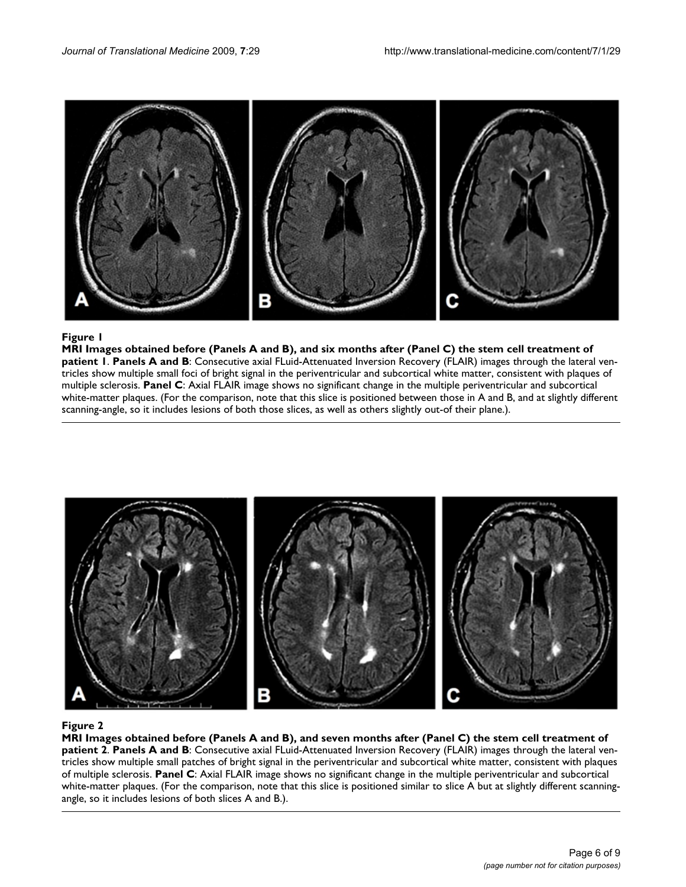

#### MRI Images obtained before (Panels A an **Figure 1** d B), and six months after (Panel C) the stem cell treatment of patient 1

**MRI Images obtained before (Panels A and B), and six months after (Panel C) the stem cell treatment of patient 1**. **Panels A and B**: Consecutive axial FLuid-Attenuated Inversion Recovery (FLAIR) images through the lateral ventricles show multiple small foci of bright signal in the periventricular and subcortical white matter, consistent with plaques of multiple sclerosis. **Panel C**: Axial FLAIR image shows no significant change in the multiple periventricular and subcortical white-matter plaques. (For the comparison, note that this slice is positioned between those in A and B, and at slightly different scanning-angle, so it includes lesions of both those slices, as well as others slightly out-of their plane.).



#### MRI Images obtained before (Panels A and B), and seven mont **Figure 2** hs after (Panel C) the stem cell treatment of patient 2

**MRI Images obtained before (Panels A and B), and seven months after (Panel C) the stem cell treatment of patient 2**. **Panels A and B**: Consecutive axial FLuid-Attenuated Inversion Recovery (FLAIR) images through the lateral ventricles show multiple small patches of bright signal in the periventricular and subcortical white matter, consistent with plaques of multiple sclerosis. **Panel C**: Axial FLAIR image shows no significant change in the multiple periventricular and subcortical white-matter plaques. (For the comparison, note that this slice is positioned similar to slice A but at slightly different scanningangle, so it includes lesions of both slices A and B.).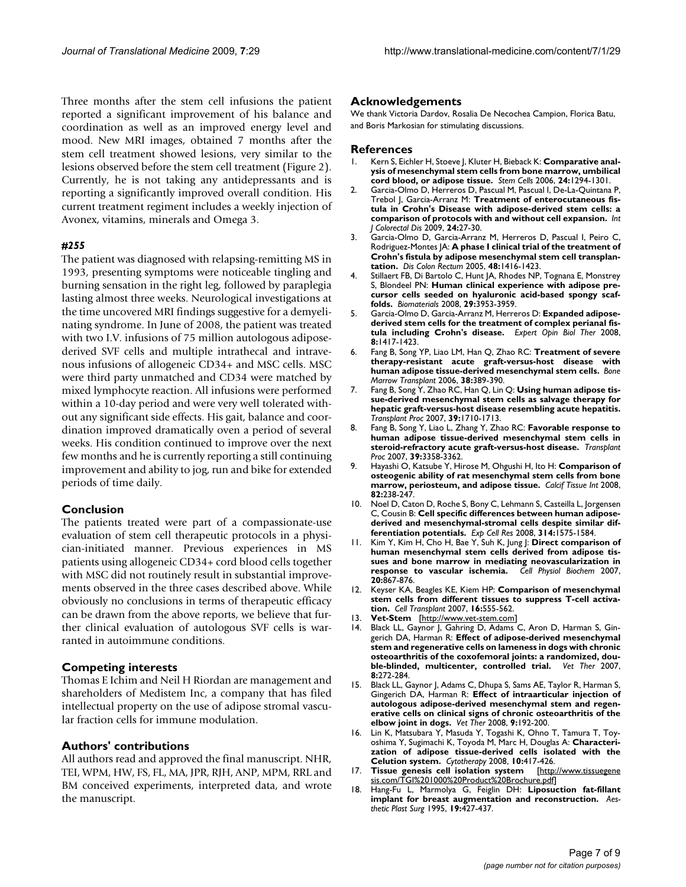Three months after the stem cell infusions the patient reported a significant improvement of his balance and coordination as well as an improved energy level and mood. New MRI images, obtained 7 months after the stem cell treatment showed lesions, very similar to the lesions observed before the stem cell treatment (Figure 2). Currently, he is not taking any antidepressants and is reporting a significantly improved overall condition. His current treatment regiment includes a weekly injection of Avonex, vitamins, minerals and Omega 3.

#### *#255*

The patient was diagnosed with relapsing-remitting MS in 1993, presenting symptoms were noticeable tingling and burning sensation in the right leg, followed by paraplegia lasting almost three weeks. Neurological investigations at the time uncovered MRI findings suggestive for a demyelinating syndrome. In June of 2008, the patient was treated with two I.V. infusions of 75 million autologous adiposederived SVF cells and multiple intrathecal and intravenous infusions of allogeneic CD34+ and MSC cells. MSC were third party unmatched and CD34 were matched by mixed lymphocyte reaction. All infusions were performed within a 10-day period and were very well tolerated without any significant side effects. His gait, balance and coordination improved dramatically oven a period of several weeks. His condition continued to improve over the next few months and he is currently reporting a still continuing improvement and ability to jog, run and bike for extended periods of time daily.

#### **Conclusion**

The patients treated were part of a compassionate-use evaluation of stem cell therapeutic protocols in a physician-initiated manner. Previous experiences in MS patients using allogeneic CD34+ cord blood cells together with MSC did not routinely result in substantial improvements observed in the three cases described above. While obviously no conclusions in terms of therapeutic efficacy can be drawn from the above reports, we believe that further clinical evaluation of autologous SVF cells is warranted in autoimmune conditions.

#### **Competing interests**

Thomas E Ichim and Neil H Riordan are management and shareholders of Medistem Inc, a company that has filed intellectual property on the use of adipose stromal vascular fraction cells for immune modulation.

#### **Authors' contributions**

All authors read and approved the final manuscript. NHR, TEI, WPM, HW, FS, FL, MA, JPR, RJH, ANP, MPM, RRL and BM conceived experiments, interpreted data, and wrote the manuscript.

#### **Acknowledgements**

We thank Victoria Dardov, Rosalia De Necochea Campion, Florica Batu, and Boris Markosian for stimulating discussions.

#### **References**

- Kern S, Eichler H, Stoeve J, Kluter H, Bieback K: [Comparative anal](http://www.ncbi.nlm.nih.gov/entrez/query.fcgi?cmd=Retrieve&db=PubMed&dopt=Abstract&list_uids=16410387)**[ysis of mesenchymal stem cells from bone marrow, umbilical](http://www.ncbi.nlm.nih.gov/entrez/query.fcgi?cmd=Retrieve&db=PubMed&dopt=Abstract&list_uids=16410387) [cord blood, or adipose tissue.](http://www.ncbi.nlm.nih.gov/entrez/query.fcgi?cmd=Retrieve&db=PubMed&dopt=Abstract&list_uids=16410387)** *Stem Cells* 2006, **24:**1294-1301.
- 2. Garcia-Olmo D, Herreros D, Pascual M, Pascual I, De-La-Quintana P, Trebol J, Garcia-Arranz M: **[Treatment of enterocutaneous fis](http://www.ncbi.nlm.nih.gov/entrez/query.fcgi?cmd=Retrieve&db=PubMed&dopt=Abstract&list_uids=18696086)[tula in Crohn's Disease with adipose-derived stem cells: a](http://www.ncbi.nlm.nih.gov/entrez/query.fcgi?cmd=Retrieve&db=PubMed&dopt=Abstract&list_uids=18696086) [comparison of protocols with and without cell expansion.](http://www.ncbi.nlm.nih.gov/entrez/query.fcgi?cmd=Retrieve&db=PubMed&dopt=Abstract&list_uids=18696086)** *Int J Colorectal Dis* 2009, **24:**27-30.
- 3. Garcia-Olmo D, Garcia-Arranz M, Herreros D, Pascual I, Peiro C, Rodriguez-Montes JA: **[A phase I clinical trial of the treatment of](http://www.ncbi.nlm.nih.gov/entrez/query.fcgi?cmd=Retrieve&db=PubMed&dopt=Abstract&list_uids=15933795) [Crohn's fistula by adipose mesenchymal stem cell transplan](http://www.ncbi.nlm.nih.gov/entrez/query.fcgi?cmd=Retrieve&db=PubMed&dopt=Abstract&list_uids=15933795)[tation.](http://www.ncbi.nlm.nih.gov/entrez/query.fcgi?cmd=Retrieve&db=PubMed&dopt=Abstract&list_uids=15933795)** *Dis Colon Rectum* 2005, **48:**1416-1423.
- 4. Stillaert FB, Di Bartolo C, Hunt JA, Rhodes NP, Tognana E, Monstrey S, Blondeel PN: **[Human clinical experience with adipose pre](http://www.ncbi.nlm.nih.gov/entrez/query.fcgi?cmd=Retrieve&db=PubMed&dopt=Abstract&list_uids=18635258)[cursor cells seeded on hyaluronic acid-based spongy scaf](http://www.ncbi.nlm.nih.gov/entrez/query.fcgi?cmd=Retrieve&db=PubMed&dopt=Abstract&list_uids=18635258)[folds.](http://www.ncbi.nlm.nih.gov/entrez/query.fcgi?cmd=Retrieve&db=PubMed&dopt=Abstract&list_uids=18635258)** *Biomaterials* 2008, **29:**3953-3959.
- 5. Garcia-Olmo D, Garcia-Arranz M, Herreros D: **[Expanded adipose](http://www.ncbi.nlm.nih.gov/entrez/query.fcgi?cmd=Retrieve&db=PubMed&dopt=Abstract&list_uids=18694359)[derived stem cells for the treatment of complex perianal fis](http://www.ncbi.nlm.nih.gov/entrez/query.fcgi?cmd=Retrieve&db=PubMed&dopt=Abstract&list_uids=18694359)[tula including Crohn's disease.](http://www.ncbi.nlm.nih.gov/entrez/query.fcgi?cmd=Retrieve&db=PubMed&dopt=Abstract&list_uids=18694359)** *Expert Opin Biol Ther* 2008, **8:**1417-1423.
- 6. Fang B, Song YP, Liao LM, Han Q, Zhao RC: **[Treatment of severe](http://www.ncbi.nlm.nih.gov/entrez/query.fcgi?cmd=Retrieve&db=PubMed&dopt=Abstract&list_uids=16878145) [therapy-resistant acute graft-versus-host disease with](http://www.ncbi.nlm.nih.gov/entrez/query.fcgi?cmd=Retrieve&db=PubMed&dopt=Abstract&list_uids=16878145) [human adipose tissue-derived mesenchymal stem cells.](http://www.ncbi.nlm.nih.gov/entrez/query.fcgi?cmd=Retrieve&db=PubMed&dopt=Abstract&list_uids=16878145)** *Bone Marrow Transplant* 2006, **38:**389-390.
- 7. Fang B, Song Y, Zhao RC, Han Q, Lin Q: **[Using human adipose tis](http://www.ncbi.nlm.nih.gov/entrez/query.fcgi?cmd=Retrieve&db=PubMed&dopt=Abstract&list_uids=17580228)[sue-derived mesenchymal stem cells as salvage therapy for](http://www.ncbi.nlm.nih.gov/entrez/query.fcgi?cmd=Retrieve&db=PubMed&dopt=Abstract&list_uids=17580228) hepatic graft-versus-host disease resembling acute hepatitis.** *Transplant Proc* 2007, **39:**1710-1713.
- 8. Fang B, Song Y, Liao L, Zhang Y, Zhao RC: **[Favorable response to](http://www.ncbi.nlm.nih.gov/entrez/query.fcgi?cmd=Retrieve&db=PubMed&dopt=Abstract&list_uids=18089385) [human adipose tissue-derived mesenchymal stem cells in](http://www.ncbi.nlm.nih.gov/entrez/query.fcgi?cmd=Retrieve&db=PubMed&dopt=Abstract&list_uids=18089385) [steroid-refractory acute graft-versus-host disease.](http://www.ncbi.nlm.nih.gov/entrez/query.fcgi?cmd=Retrieve&db=PubMed&dopt=Abstract&list_uids=18089385)** *Transplant Proc* 2007, **39:**3358-3362.
- 9. Hayashi O, Katsube Y, Hirose M, Ohgushi H, Ito H: **[Comparison of](http://www.ncbi.nlm.nih.gov/entrez/query.fcgi?cmd=Retrieve&db=PubMed&dopt=Abstract&list_uids=18305886) [osteogenic ability of rat mesenchymal stem cells from bone](http://www.ncbi.nlm.nih.gov/entrez/query.fcgi?cmd=Retrieve&db=PubMed&dopt=Abstract&list_uids=18305886) [marrow, periosteum, and adipose tissue.](http://www.ncbi.nlm.nih.gov/entrez/query.fcgi?cmd=Retrieve&db=PubMed&dopt=Abstract&list_uids=18305886)** *Calcif Tissue Int* 2008, **82:**238-247.
- 10. Noel D, Caton D, Roche S, Bony C, Lehmann S, Casteilla L, Jorgensen C, Cousin B: **[Cell specific differences between human adipose](http://www.ncbi.nlm.nih.gov/entrez/query.fcgi?cmd=Retrieve&db=PubMed&dopt=Abstract&list_uids=18325494)[derived and mesenchymal-stromal cells despite similar dif](http://www.ncbi.nlm.nih.gov/entrez/query.fcgi?cmd=Retrieve&db=PubMed&dopt=Abstract&list_uids=18325494)[ferentiation potentials.](http://www.ncbi.nlm.nih.gov/entrez/query.fcgi?cmd=Retrieve&db=PubMed&dopt=Abstract&list_uids=18325494)** *Exp Cell Res* 2008, **314:**1575-1584.
- 11. Kim Y, Kim H, Cho H, Bae Y, Suh K, Jung J: **[Direct comparison of](http://www.ncbi.nlm.nih.gov/entrez/query.fcgi?cmd=Retrieve&db=PubMed&dopt=Abstract&list_uids=17982269) [human mesenchymal stem cells derived from adipose tis](http://www.ncbi.nlm.nih.gov/entrez/query.fcgi?cmd=Retrieve&db=PubMed&dopt=Abstract&list_uids=17982269)sues and bone marrow in mediating neovascularization in [response to vascular ischemia.](http://www.ncbi.nlm.nih.gov/entrez/query.fcgi?cmd=Retrieve&db=PubMed&dopt=Abstract&list_uids=17982269)** *Cell Physiol Biochem* 2007, **20:**867-876.
- 12. Keyser KA, Beagles KE, Kiem HP: **[Comparison of mesenchymal](http://www.ncbi.nlm.nih.gov/entrez/query.fcgi?cmd=Retrieve&db=PubMed&dopt=Abstract&list_uids=17708345) [stem cells from different tissues to suppress T-cell activa](http://www.ncbi.nlm.nih.gov/entrez/query.fcgi?cmd=Retrieve&db=PubMed&dopt=Abstract&list_uids=17708345)[tion.](http://www.ncbi.nlm.nih.gov/entrez/query.fcgi?cmd=Retrieve&db=PubMed&dopt=Abstract&list_uids=17708345)** *Cell Transplant* 2007, **16:**555-562.
- 13. **Vet-Stem** [<http://www.vet-stem.com>]
- 14. Black LL, Gaynor J, Gahring D, Adams C, Aron D, Harman S, Gingerich DA, Harman R: **[Effect of adipose-derived mesenchymal](http://www.ncbi.nlm.nih.gov/entrez/query.fcgi?cmd=Retrieve&db=PubMed&dopt=Abstract&list_uids=18183546) [stem and regenerative cells on lameness in dogs with chronic](http://www.ncbi.nlm.nih.gov/entrez/query.fcgi?cmd=Retrieve&db=PubMed&dopt=Abstract&list_uids=18183546) osteoarthritis of the coxofemoral joints: a randomized, dou[ble-blinded, multicenter, controlled trial.](http://www.ncbi.nlm.nih.gov/entrez/query.fcgi?cmd=Retrieve&db=PubMed&dopt=Abstract&list_uids=18183546) 8:**272-284.
- 15. Black LL, Gaynor J, Adams C, Dhupa S, Sams AE, Taylor R, Harman S, Gingerich DA, Harman R: **[Effect of intraarticular injection of](http://www.ncbi.nlm.nih.gov/entrez/query.fcgi?cmd=Retrieve&db=PubMed&dopt=Abstract&list_uids=19003780) [autologous adipose-derived mesenchymal stem and regen](http://www.ncbi.nlm.nih.gov/entrez/query.fcgi?cmd=Retrieve&db=PubMed&dopt=Abstract&list_uids=19003780)erative cells on clinical signs of chronic osteoarthritis of the [elbow joint in dogs.](http://www.ncbi.nlm.nih.gov/entrez/query.fcgi?cmd=Retrieve&db=PubMed&dopt=Abstract&list_uids=19003780)** *Vet Ther* 2008, **9:**192-200.
- 16. Lin K, Matsubara Y, Masuda Y, Togashi K, Ohno T, Tamura T, Toyoshima Y, Sugimachi K, Toyoda M, Marc H, Douglas A: **[Characteri](http://www.ncbi.nlm.nih.gov/entrez/query.fcgi?cmd=Retrieve&db=PubMed&dopt=Abstract&list_uids=18574774)[zation of adipose tissue-derived cells isolated with the](http://www.ncbi.nlm.nih.gov/entrez/query.fcgi?cmd=Retrieve&db=PubMed&dopt=Abstract&list_uids=18574774) [Celution system.](http://www.ncbi.nlm.nih.gov/entrez/query.fcgi?cmd=Retrieve&db=PubMed&dopt=Abstract&list_uids=18574774)** *Cytotherapy* 2008, **10:**417-426.
- 17. **Tissue genesis cell isolation system** [\[http://www.tissuegene](http://www.tissuegenesis.com/TGI%201000%20Product%20Brochure.pdf) [sis.com/TGI%201000%20Product%20Brochure.pdf](http://www.tissuegenesis.com/TGI%201000%20Product%20Brochure.pdf)
- 18. Hang-Fu L, Marmolya G, Feiglin DH: **[Liposuction fat-fillant](http://www.ncbi.nlm.nih.gov/entrez/query.fcgi?cmd=Retrieve&db=PubMed&dopt=Abstract&list_uids=8526159) [implant for breast augmentation and reconstruction.](http://www.ncbi.nlm.nih.gov/entrez/query.fcgi?cmd=Retrieve&db=PubMed&dopt=Abstract&list_uids=8526159)** *Aesthetic Plast Surg* 1995, **19:**427-437.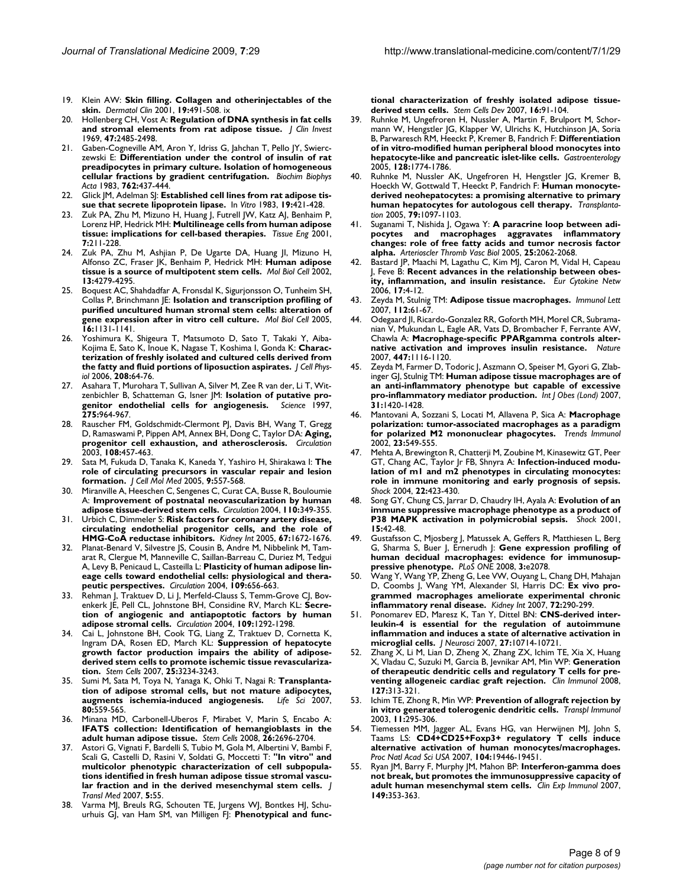19. Klein AW: **[Skin filling. Collagen and otherinjectables of the](http://www.ncbi.nlm.nih.gov/entrez/query.fcgi?cmd=Retrieve&db=PubMed&dopt=Abstract&list_uids=11599406) [skin.](http://www.ncbi.nlm.nih.gov/entrez/query.fcgi?cmd=Retrieve&db=PubMed&dopt=Abstract&list_uids=11599406)** *Dermatol Clin* 2001, **19:**491-508. ix

20. Hollenberg CH, Vost A: **[Regulation of DNA synthesis in fat cells](http://www.ncbi.nlm.nih.gov/entrez/query.fcgi?cmd=Retrieve&db=PubMed&dopt=Abstract&list_uids=4304653) [and stromal elements from rat adipose tissue.](http://www.ncbi.nlm.nih.gov/entrez/query.fcgi?cmd=Retrieve&db=PubMed&dopt=Abstract&list_uids=4304653)** *J Clin Invest* 1969, **47:**2485-2498.

21. Gaben-Cogneville AM, Aron Y, Idriss G, Jahchan T, Pello JY, Swierczewski E: **[Differentiation under the control of insulin of rat](http://www.ncbi.nlm.nih.gov/entrez/query.fcgi?cmd=Retrieve&db=PubMed&dopt=Abstract&list_uids=6405801) [preadipocytes in primary culture. Isolation of homogeneous](http://www.ncbi.nlm.nih.gov/entrez/query.fcgi?cmd=Retrieve&db=PubMed&dopt=Abstract&list_uids=6405801) [cellular fractions by gradient centrifugation.](http://www.ncbi.nlm.nih.gov/entrez/query.fcgi?cmd=Retrieve&db=PubMed&dopt=Abstract&list_uids=6405801)** *Biochim Biophys Acta* 1983, **762:**437-444.

- 22. Glick JM, Adelman SJ: [Established cell lines from rat adipose tis](http://www.ncbi.nlm.nih.gov/entrez/query.fcgi?cmd=Retrieve&db=PubMed&dopt=Abstract&list_uids=6862515)**[sue that secrete lipoprotein lipase.](http://www.ncbi.nlm.nih.gov/entrez/query.fcgi?cmd=Retrieve&db=PubMed&dopt=Abstract&list_uids=6862515)** In *Vitro* 1983, **19:**421-428.
- 23. Zuk PA, Zhu M, Mizuno H, Huang J, Futrell JW, Katz AJ, Benhaim P, Lorenz HP, Hedrick MH: **[Multilineage cells from human adipose](http://www.ncbi.nlm.nih.gov/entrez/query.fcgi?cmd=Retrieve&db=PubMed&dopt=Abstract&list_uids=11304456) [tissue: implications for cell-based therapies.](http://www.ncbi.nlm.nih.gov/entrez/query.fcgi?cmd=Retrieve&db=PubMed&dopt=Abstract&list_uids=11304456)** *Tissue Eng* 2001, **7:**211-228.
- 24. Zuk PA, Zhu M, Ashjian P, De Ugarte DA, Huang JI, Mizuno H, Alfonso ZC, Fraser JK, Benhaim P, Hedrick MH: **[Human adipose](http://www.ncbi.nlm.nih.gov/entrez/query.fcgi?cmd=Retrieve&db=PubMed&dopt=Abstract&list_uids=12475952) [tissue is a source of multipotent stem cells.](http://www.ncbi.nlm.nih.gov/entrez/query.fcgi?cmd=Retrieve&db=PubMed&dopt=Abstract&list_uids=12475952)** *Mol Biol Cell* 2002, **13:**4279-4295.
- 25. Boquest AC, Shahdadfar A, Fronsdal K, Sigurjonsson O, Tunheim SH, Collas P, Brinchmann JE: **[Isolation and transcription profiling of](http://www.ncbi.nlm.nih.gov/entrez/query.fcgi?cmd=Retrieve&db=PubMed&dopt=Abstract&list_uids=15635089) [purified uncultured human stromal stem cells: alteration of](http://www.ncbi.nlm.nih.gov/entrez/query.fcgi?cmd=Retrieve&db=PubMed&dopt=Abstract&list_uids=15635089) [gene expression after in vitro cell culture.](http://www.ncbi.nlm.nih.gov/entrez/query.fcgi?cmd=Retrieve&db=PubMed&dopt=Abstract&list_uids=15635089)** *Mol Biol Cell* 2005, **16:**1131-1141.
- Yoshimura K, Shigeura T, Matsumoto D, Sato T, Takaki Y, Aiba-Kojima E, Sato K, Inoue K, Nagase T, Koshima I, Gonda K: **[Charac](http://www.ncbi.nlm.nih.gov/entrez/query.fcgi?cmd=Retrieve&db=PubMed&dopt=Abstract&list_uids=16557516)[terization of freshly isolated and cultured cells derived from](http://www.ncbi.nlm.nih.gov/entrez/query.fcgi?cmd=Retrieve&db=PubMed&dopt=Abstract&list_uids=16557516) [the fatty and fluid portions of liposuction aspirates.](http://www.ncbi.nlm.nih.gov/entrez/query.fcgi?cmd=Retrieve&db=PubMed&dopt=Abstract&list_uids=16557516)** *J Cell Physiol* 2006, **208:**64-76.
- 27. Asahara T, Murohara T, Sullivan A, Silver M, Zee R van der, Li T, Witzenbichler B, Schatteman G, Isner JM: **[Isolation of putative pro](http://www.ncbi.nlm.nih.gov/entrez/query.fcgi?cmd=Retrieve&db=PubMed&dopt=Abstract&list_uids=9020076)[genitor endothelial cells for angiogenesis.](http://www.ncbi.nlm.nih.gov/entrez/query.fcgi?cmd=Retrieve&db=PubMed&dopt=Abstract&list_uids=9020076)** *Science* 1997, **275:**964-967.
- 28. Rauscher FM, Goldschmidt-Clermont PJ, Davis BH, Wang T, Gregg D, Ramaswami P, Pippen AM, Annex BH, Dong C, Taylor DA: **[Aging,](http://www.ncbi.nlm.nih.gov/entrez/query.fcgi?cmd=Retrieve&db=PubMed&dopt=Abstract&list_uids=12860902) [progenitor cell exhaustion, and atherosclerosis.](http://www.ncbi.nlm.nih.gov/entrez/query.fcgi?cmd=Retrieve&db=PubMed&dopt=Abstract&list_uids=12860902)** *Circulation* 2003, **108:**457-463.
- 29. Sata M, Fukuda D, Tanaka K, Kaneda Y, Yashiro H, Shirakawa I: **[The](http://www.ncbi.nlm.nih.gov/entrez/query.fcgi?cmd=Retrieve&db=PubMed&dopt=Abstract&list_uids=16202205) [role of circulating precursors in vascular repair and lesion](http://www.ncbi.nlm.nih.gov/entrez/query.fcgi?cmd=Retrieve&db=PubMed&dopt=Abstract&list_uids=16202205) [formation.](http://www.ncbi.nlm.nih.gov/entrez/query.fcgi?cmd=Retrieve&db=PubMed&dopt=Abstract&list_uids=16202205)** *J Cell Mol Med* 2005, **9:**557-568.
- 30. Miranville A, Heeschen C, Sengenes C, Curat CA, Busse R, Bouloumie A: **[Improvement of postnatal neovascularization by human](http://www.ncbi.nlm.nih.gov/entrez/query.fcgi?cmd=Retrieve&db=PubMed&dopt=Abstract&list_uids=15238461) [adipose tissue-derived stem cells.](http://www.ncbi.nlm.nih.gov/entrez/query.fcgi?cmd=Retrieve&db=PubMed&dopt=Abstract&list_uids=15238461)** *Circulation* 2004, **110:**349-355.
- 31. Urbich C, Dimmeler S: **[Risk factors for coronary artery disease,](http://www.ncbi.nlm.nih.gov/entrez/query.fcgi?cmd=Retrieve&db=PubMed&dopt=Abstract&list_uids=15840010) [circulating endothelial progenitor cells, and the role of](http://www.ncbi.nlm.nih.gov/entrez/query.fcgi?cmd=Retrieve&db=PubMed&dopt=Abstract&list_uids=15840010) [HMG-CoA reductase inhibitors.](http://www.ncbi.nlm.nih.gov/entrez/query.fcgi?cmd=Retrieve&db=PubMed&dopt=Abstract&list_uids=15840010)** *Kidney Int* 2005, **67:**1672-1676.
- 32. Planat-Benard V, Silvestre JS, Cousin B, Andre M, Nibbelink M, Tamarat R, Clergue M, Manneville C, Saillan-Barreau C, Duriez M, Tedgui A, Levy B, Penicaud L, Casteilla L: **[Plasticity of human adipose lin](http://www.ncbi.nlm.nih.gov/entrez/query.fcgi?cmd=Retrieve&db=PubMed&dopt=Abstract&list_uids=14734516)[eage cells toward endothelial cells: physiological and thera](http://www.ncbi.nlm.nih.gov/entrez/query.fcgi?cmd=Retrieve&db=PubMed&dopt=Abstract&list_uids=14734516)[peutic perspectives.](http://www.ncbi.nlm.nih.gov/entrez/query.fcgi?cmd=Retrieve&db=PubMed&dopt=Abstract&list_uids=14734516)** *Circulation* 2004, **109:**656-663.
- 33. Rehman J, Traktuev D, Li J, Merfeld-Clauss S, Temm-Grove CJ, Bovenkerk JE, Pell CL, Johnstone BH, Considine RV, March KL: **[Secre](http://www.ncbi.nlm.nih.gov/entrez/query.fcgi?cmd=Retrieve&db=PubMed&dopt=Abstract&list_uids=14993122)[tion of angiogenic and antiapoptotic factors by human](http://www.ncbi.nlm.nih.gov/entrez/query.fcgi?cmd=Retrieve&db=PubMed&dopt=Abstract&list_uids=14993122) [adipose stromal cells.](http://www.ncbi.nlm.nih.gov/entrez/query.fcgi?cmd=Retrieve&db=PubMed&dopt=Abstract&list_uids=14993122)** *Circulation* 2004, **109:**1292-1298.
- 34. Cai L, Johnstone BH, Cook TG, Liang Z, Traktuev D, Cornetta K, Ingram DA, Rosen ED, March KL: **[Suppression of hepatocyte](http://www.ncbi.nlm.nih.gov/entrez/query.fcgi?cmd=Retrieve&db=PubMed&dopt=Abstract&list_uids=17901400) [growth factor production impairs the ability of adipose](http://www.ncbi.nlm.nih.gov/entrez/query.fcgi?cmd=Retrieve&db=PubMed&dopt=Abstract&list_uids=17901400)derived stem cells to promote ischemic tissue revasculariza[tion.](http://www.ncbi.nlm.nih.gov/entrez/query.fcgi?cmd=Retrieve&db=PubMed&dopt=Abstract&list_uids=17901400)** *Stem Cells* 2007, **25:**3234-3243.
- 35. Sumi M, Sata M, Toya N, Yanaga K, Ohki T, Nagai R: **[Transplanta](http://www.ncbi.nlm.nih.gov/entrez/query.fcgi?cmd=Retrieve&db=PubMed&dopt=Abstract&list_uids=17157325)[tion of adipose stromal cells, but not mature adipocytes,](http://www.ncbi.nlm.nih.gov/entrez/query.fcgi?cmd=Retrieve&db=PubMed&dopt=Abstract&list_uids=17157325) [augments ischemia-induced angiogenesis.](http://www.ncbi.nlm.nih.gov/entrez/query.fcgi?cmd=Retrieve&db=PubMed&dopt=Abstract&list_uids=17157325)** *Life Sci* 2007, **80:**559-565.
- 36. Minana MD, Carbonell-Uberos F, Mirabet V, Marin S, Encabo A: **[IFATS collection: Identification of hemangioblasts in the](http://www.ncbi.nlm.nih.gov/entrez/query.fcgi?cmd=Retrieve&db=PubMed&dopt=Abstract&list_uids=18450825) [adult human adipose tissue.](http://www.ncbi.nlm.nih.gov/entrez/query.fcgi?cmd=Retrieve&db=PubMed&dopt=Abstract&list_uids=18450825)** *Stem Cells* 2008, **26:**2696-2704.
- 37. Astori G, Vignati F, Bardelli S, Tubio M, Gola M, Albertini V, Bambi F, Scali G, Castelli D, Rasini V, Soldati G, Moccetti T: **["In vitro" and](http://www.ncbi.nlm.nih.gov/entrez/query.fcgi?cmd=Retrieve&db=PubMed&dopt=Abstract&list_uids=17974012) [multicolor phenotypic characterization of cell subpopula](http://www.ncbi.nlm.nih.gov/entrez/query.fcgi?cmd=Retrieve&db=PubMed&dopt=Abstract&list_uids=17974012)tions identified in fresh human adipose tissue stromal vascu[lar fraction and in the derived mesenchymal stem cells.](http://www.ncbi.nlm.nih.gov/entrez/query.fcgi?cmd=Retrieve&db=PubMed&dopt=Abstract&list_uids=17974012)** *J Transl Med* 2007, **5:**55.
- 38. Varma MJ, Breuls RG, Schouten TE, Jurgens WJ, Bontkes HJ, Schuurhuis GJ, van Ham SM, van Milligen FJ: **[Phenotypical and func-](http://www.ncbi.nlm.nih.gov/entrez/query.fcgi?cmd=Retrieve&db=PubMed&dopt=Abstract&list_uids=17348807)**

**[tional characterization of freshly isolated adipose tissue](http://www.ncbi.nlm.nih.gov/entrez/query.fcgi?cmd=Retrieve&db=PubMed&dopt=Abstract&list_uids=17348807)[derived stem cells.](http://www.ncbi.nlm.nih.gov/entrez/query.fcgi?cmd=Retrieve&db=PubMed&dopt=Abstract&list_uids=17348807)** *Stem Cells Dev* 2007, **16:**91-104.

- 39. Ruhnke M, Ungefroren H, Nussler A, Martin F, Brulport M, Schormann W, Hengstler JG, Klapper W, Ulrichs K, Hutchinson JA, Soria B, Parwaresch RM, Heeckt P, Kremer B, Fandrich F: **[Differentiation](http://www.ncbi.nlm.nih.gov/entrez/query.fcgi?cmd=Retrieve&db=PubMed&dopt=Abstract&list_uids=15940611) [of in vitro-modified human peripheral blood monocytes into](http://www.ncbi.nlm.nih.gov/entrez/query.fcgi?cmd=Retrieve&db=PubMed&dopt=Abstract&list_uids=15940611) [hepatocyte-like and pancreatic islet-like cells.](http://www.ncbi.nlm.nih.gov/entrez/query.fcgi?cmd=Retrieve&db=PubMed&dopt=Abstract&list_uids=15940611)** *Gastroenterology* 2005, **128:**1774-1786.
- 40. Ruhnke M, Nussler AK, Ungefroren H, Hengstler JG, Kremer B, Hoeckh W, Gottwald T, Heeckt P, Fandrich F: **[Human monocyte](http://www.ncbi.nlm.nih.gov/entrez/query.fcgi?cmd=Retrieve&db=PubMed&dopt=Abstract&list_uids=15880050)[derived neohepatocytes: a promising alternative to primary](http://www.ncbi.nlm.nih.gov/entrez/query.fcgi?cmd=Retrieve&db=PubMed&dopt=Abstract&list_uids=15880050) [human hepatocytes for autologous cell therapy.](http://www.ncbi.nlm.nih.gov/entrez/query.fcgi?cmd=Retrieve&db=PubMed&dopt=Abstract&list_uids=15880050)** *Transplantation* 2005, **79:**1097-1103.
- 41. Suganami T, Nishida J, Ogawa Y: **[A paracrine loop between adi](http://www.ncbi.nlm.nih.gov/entrez/query.fcgi?cmd=Retrieve&db=PubMed&dopt=Abstract&list_uids=16123319)[pocytes and macrophages aggravates inflammatory](http://www.ncbi.nlm.nih.gov/entrez/query.fcgi?cmd=Retrieve&db=PubMed&dopt=Abstract&list_uids=16123319) changes: role of free fatty acids and tumor necrosis factor [alpha.](http://www.ncbi.nlm.nih.gov/entrez/query.fcgi?cmd=Retrieve&db=PubMed&dopt=Abstract&list_uids=16123319)** *Arterioscler Thromb Vasc Biol* 2005, **25:**2062-2068.
- 42. Bastard JP, Maachi M, Lagathu C, Kim MJ, Caron M, Vidal H, Capeau J, Feve B: **[Recent advances in the relationship between obes](http://www.ncbi.nlm.nih.gov/entrez/query.fcgi?cmd=Retrieve&db=PubMed&dopt=Abstract&list_uids=16613757)[ity, inflammation, and insulin resistance.](http://www.ncbi.nlm.nih.gov/entrez/query.fcgi?cmd=Retrieve&db=PubMed&dopt=Abstract&list_uids=16613757)** *Eur Cytokine Netw* 2006, **17:**4-12.
- 43. Zeyda M, Stulnig TM: **[Adipose tissue macrophages.](http://www.ncbi.nlm.nih.gov/entrez/query.fcgi?cmd=Retrieve&db=PubMed&dopt=Abstract&list_uids=17719095)** *Immunol Lett* 2007, **112:**61-67.
- 44. Odegaard JI, Ricardo-Gonzalez RR, Goforth MH, Morel CR, Subramanian V, Mukundan L, Eagle AR, Vats D, Brombacher F, Ferrante AW, Chawla A: **[Macrophage-specific PPARgamma controls alter](http://www.ncbi.nlm.nih.gov/entrez/query.fcgi?cmd=Retrieve&db=PubMed&dopt=Abstract&list_uids=17515919)[native activation and improves insulin resistance.](http://www.ncbi.nlm.nih.gov/entrez/query.fcgi?cmd=Retrieve&db=PubMed&dopt=Abstract&list_uids=17515919)** *Nature* 2007, **447:**1116-1120.
- 45. Zeyda M, Farmer D, Todoric J, Aszmann O, Speiser M, Gyori G, Zlabinger GJ, Stulnig TM: **[Human adipose tissue macrophages are of](http://www.ncbi.nlm.nih.gov/entrez/query.fcgi?cmd=Retrieve&db=PubMed&dopt=Abstract&list_uids=17593905) [an anti-inflammatory phenotype but capable of excessive](http://www.ncbi.nlm.nih.gov/entrez/query.fcgi?cmd=Retrieve&db=PubMed&dopt=Abstract&list_uids=17593905) [pro-inflammatory mediator production.](http://www.ncbi.nlm.nih.gov/entrez/query.fcgi?cmd=Retrieve&db=PubMed&dopt=Abstract&list_uids=17593905)** *Int J Obes (Lond)* 2007, **31:**1420-1428.
- 46. Mantovani A, Sozzani S, Locati M, Allavena P, Sica A: **[Macrophage](http://www.ncbi.nlm.nih.gov/entrez/query.fcgi?cmd=Retrieve&db=PubMed&dopt=Abstract&list_uids=12401408) [polarization: tumor-associated macrophages as a paradigm](http://www.ncbi.nlm.nih.gov/entrez/query.fcgi?cmd=Retrieve&db=PubMed&dopt=Abstract&list_uids=12401408) [for polarized M2 mononuclear phagocytes.](http://www.ncbi.nlm.nih.gov/entrez/query.fcgi?cmd=Retrieve&db=PubMed&dopt=Abstract&list_uids=12401408)** *Trends Immunol* 2002, **23:**549-555.
- 47. Mehta A, Brewington R, Chatterji M, Zoubine M, Kinasewitz GT, Peer GT, Chang AC, Taylor Jr FB, Shnyra A: **[Infection-induced modu](http://www.ncbi.nlm.nih.gov/entrez/query.fcgi?cmd=Retrieve&db=PubMed&dopt=Abstract&list_uids=15489634)lation of m1 and m2 phenotypes in circulating monocytes: [role in immune monitoring and early prognosis of sepsis.](http://www.ncbi.nlm.nih.gov/entrez/query.fcgi?cmd=Retrieve&db=PubMed&dopt=Abstract&list_uids=15489634)** *Shock* 2004, **22:**423-430.
- 48. Song GY, Chung CS, Jarrar D, Chaudry IH, Ayala A: **[Evolution of an](http://www.ncbi.nlm.nih.gov/entrez/query.fcgi?cmd=Retrieve&db=PubMed&dopt=Abstract&list_uids=11198356) [immune suppressive macrophage phenotype as a product of](http://www.ncbi.nlm.nih.gov/entrez/query.fcgi?cmd=Retrieve&db=PubMed&dopt=Abstract&list_uids=11198356) [P38 MAPK activation in polymicrobial sepsis.](http://www.ncbi.nlm.nih.gov/entrez/query.fcgi?cmd=Retrieve&db=PubMed&dopt=Abstract&list_uids=11198356)** *Shock* 2001, **15:**42-48.
- 49. Gustafsson C, Mjosberg J, Matussek A, Geffers R, Matthiesen L, Berg G, Sharma S, Buer J, Ernerudh J: **[Gene expression profiling of](http://www.ncbi.nlm.nih.gov/entrez/query.fcgi?cmd=Retrieve&db=PubMed&dopt=Abstract&list_uids=18446208) [human decidual macrophages: evidence for immunosup](http://www.ncbi.nlm.nih.gov/entrez/query.fcgi?cmd=Retrieve&db=PubMed&dopt=Abstract&list_uids=18446208)[pressive phenotype.](http://www.ncbi.nlm.nih.gov/entrez/query.fcgi?cmd=Retrieve&db=PubMed&dopt=Abstract&list_uids=18446208)** *PLoS ONE* 2008, **3:**e2078.
- 50. Wang Y, Wang YP, Zheng G, Lee VW, Ouyang L, Chang DH, Mahajan D, Coombs J, Wang YM, Alexander SI, Harris DC: **[Ex vivo pro](http://www.ncbi.nlm.nih.gov/entrez/query.fcgi?cmd=Retrieve&db=PubMed&dopt=Abstract&list_uids=17440493)[grammed macrophages ameliorate experimental chronic](http://www.ncbi.nlm.nih.gov/entrez/query.fcgi?cmd=Retrieve&db=PubMed&dopt=Abstract&list_uids=17440493) [inflammatory renal disease.](http://www.ncbi.nlm.nih.gov/entrez/query.fcgi?cmd=Retrieve&db=PubMed&dopt=Abstract&list_uids=17440493)** *Kidney Int* 2007, **72:**290-299.
- 51. Ponomarev ED, Maresz K, Tan Y, Dittel BN: **[CNS-derived inter](http://www.ncbi.nlm.nih.gov/entrez/query.fcgi?cmd=Retrieve&db=PubMed&dopt=Abstract&list_uids=17913905)[leukin-4 is essential for the regulation of autoimmune](http://www.ncbi.nlm.nih.gov/entrez/query.fcgi?cmd=Retrieve&db=PubMed&dopt=Abstract&list_uids=17913905) inflammation and induces a state of alternative activation in [microglial cells.](http://www.ncbi.nlm.nih.gov/entrez/query.fcgi?cmd=Retrieve&db=PubMed&dopt=Abstract&list_uids=17913905)** *J Neurosci* 2007, **27:**10714-10721.
- Zhang X, Li M, Lian D, Zheng X, Zhang ZX, Ichim TE, Xia X, Huang X, Vladau C, Suzuki M, Garcia B, Jevnikar AM, Min WP: **[Generation](http://www.ncbi.nlm.nih.gov/entrez/query.fcgi?cmd=Retrieve&db=PubMed&dopt=Abstract&list_uids=18358783) [of therapeutic dendritic cells and regulatory T cells for pre](http://www.ncbi.nlm.nih.gov/entrez/query.fcgi?cmd=Retrieve&db=PubMed&dopt=Abstract&list_uids=18358783)[venting allogeneic cardiac graft rejection.](http://www.ncbi.nlm.nih.gov/entrez/query.fcgi?cmd=Retrieve&db=PubMed&dopt=Abstract&list_uids=18358783)** *Clin Immunol* 2008, **127:**313-321.
- 53. Ichim TE, Zhong R, Min WP: **[Prevention of allograft rejection by](http://www.ncbi.nlm.nih.gov/entrez/query.fcgi?cmd=Retrieve&db=PubMed&dopt=Abstract&list_uids=12967783) [in vitro generated tolerogenic dendritic cells.](http://www.ncbi.nlm.nih.gov/entrez/query.fcgi?cmd=Retrieve&db=PubMed&dopt=Abstract&list_uids=12967783)** *Transpl Immunol* 2003, **11:**295-306.
- 54. Tiemessen MM, Jagger AL, Evans HG, van Herwijnen MJ, John S, Taams LS: **[CD4+CD25+Foxp3+ regulatory T cells induce](http://www.ncbi.nlm.nih.gov/entrez/query.fcgi?cmd=Retrieve&db=PubMed&dopt=Abstract&list_uids=18042719) [alternative activation of human monocytes/macrophages.](http://www.ncbi.nlm.nih.gov/entrez/query.fcgi?cmd=Retrieve&db=PubMed&dopt=Abstract&list_uids=18042719)** *Proc Natl Acad Sci USA* 2007, **104:**19446-19451.
- 55. Ryan JM, Barry F, Murphy JM, Mahon BP: **[Interferon-gamma does](http://www.ncbi.nlm.nih.gov/entrez/query.fcgi?cmd=Retrieve&db=PubMed&dopt=Abstract&list_uids=17521318) [not break, but promotes the immunosuppressive capacity of](http://www.ncbi.nlm.nih.gov/entrez/query.fcgi?cmd=Retrieve&db=PubMed&dopt=Abstract&list_uids=17521318) [adult human mesenchymal stem cells.](http://www.ncbi.nlm.nih.gov/entrez/query.fcgi?cmd=Retrieve&db=PubMed&dopt=Abstract&list_uids=17521318)** *Clin Exp Immunol* 2007, **149:**353-363.